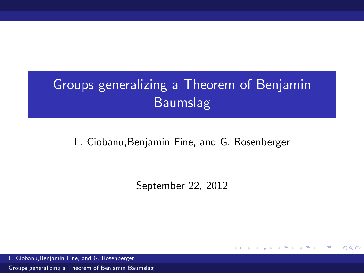# Groups generalizing a Theorem of Benjamin Baumslag

### L. Ciobanu,Benjamin Fine, and G. Rosenberger

September 22, 2012

4 0 8 → 母→ Box 4

Ε

<span id="page-0-0"></span> $\Omega$ 

L. Ciobanu,Benjamin Fine, and G. Rosenberger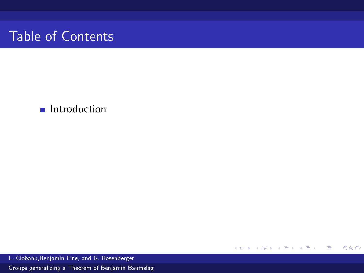### **n** Introduction

メロメ メ都 メメ きょ メ きょ ミー  $299$ 

L. Ciobanu,Benjamin Fine, and G. Rosenberger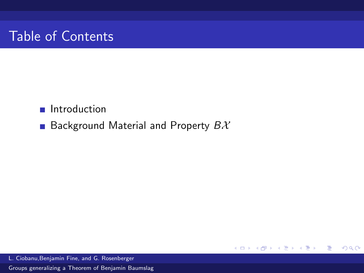### **Introduction**

**Background Material and Property**  $B\mathcal{X}$ 

重き 重

メロト メ団 トメ ミトメ

 $299$ 

L. Ciobanu,Benjamin Fine, and G. Rosenberger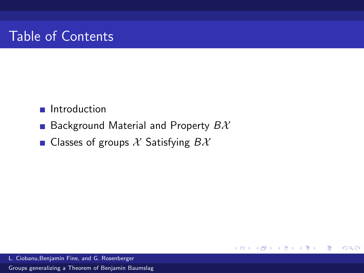### Introduction

**Background Material and Property**  $B\mathcal{X}$ 

4 0 8

→ 何 →

活

 $QQ$ 

Classes of groups  $\mathcal X$  Satisfying  $B\mathcal X$ 

L. Ciobanu,Benjamin Fine, and G. Rosenberger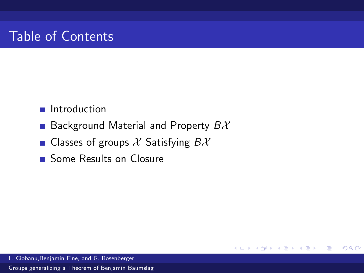### Introduction

**Background Material and Property**  $B\mathcal{X}$ 

**K ロ ▶ K 何 ▶** 

Ε

 $QQ$ 

- Classes of groups  $\mathcal X$  Satisfying  $B\mathcal X$
- Some Results on Closure

L. Ciobanu,Benjamin Fine, and G. Rosenberger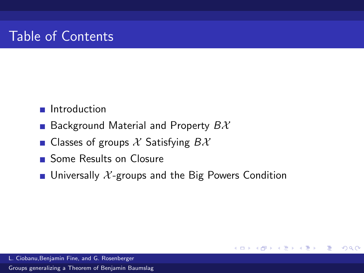### **n** Introduction

- **Background Material and Property**  $B\mathcal{X}$
- **Classes of groups X** Satisfying  $BX$
- Some Results on Closure
- **u** Universally  $\mathcal{X}$ -groups and the Big Powers Condition

**K ロ ▶ K 何 ▶ K** 

ヨ ト

Ε

 $\Omega$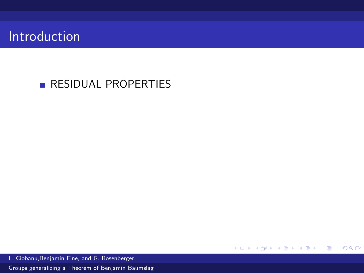# Introduction

## **RESIDUAL PROPERTIES**

L. Ciobanu,Benjamin Fine, and G. Rosenberger

[Groups generalizing a Theorem of Benjamin Baumslag](#page-0-0)

メロト メ都 トメ ミトメ ミト

 $E = \Omega Q$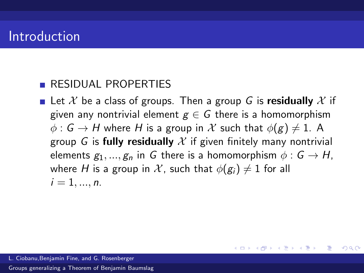# Introduction

### **RESIDUAL PROPERTIES**

**Let X** be a class of groups. Then a group G is residually X if given any nontrivial element  $g \in G$  there is a homomorphism  $\phi : G \to H$  where H is a group in X such that  $\phi(g) \neq 1$ . A group G is fully residually X if given finitely many nontrivial elements  $g_1, ..., g_n$  in G there is a homomorphism  $\phi : G \to H$ , where H is a group in X, such that  $\phi(g_i) \neq 1$  for all  $i = 1, ..., n$ .

メロメ メ都 メメモ メルモト

Ε

 $\Omega$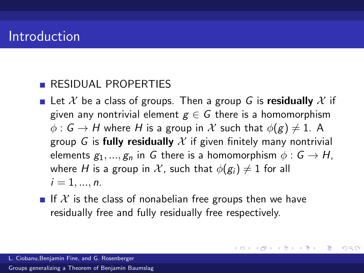# Introduction

### **RESIDUAL PROPERTIES**

- **Let X** be a class of groups. Then a group G is residually X if given any nontrivial element  $g \in G$  there is a homomorphism  $\phi : G \to H$  where H is a group in X such that  $\phi(g) \neq 1$ . A group G is fully residually X if given finitely many nontrivial elements  $g_1, ..., g_n$  in G there is a homomorphism  $\phi : G \to H$ , where H is a group in X, such that  $\phi(g_i) \neq 1$  for all  $i = 1, ..., n$ .
- If X is the class of nonabelian free groups then we have residually free and fully residually free respectively.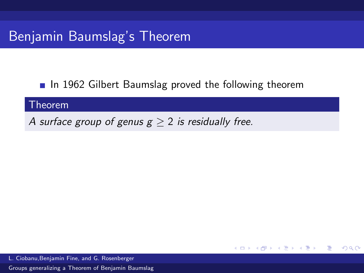# Benjamin Baumslag's Theorem

 $\blacksquare$  In 1962 Gilbert Baumslag proved the following theorem

メロト メ団 トメ ミトメ

Ε

 $\Omega$ 

#### Theorem

A surface group of genus  $g \geq 2$  is residually free.

L. Ciobanu,Benjamin Fine, and G. Rosenberger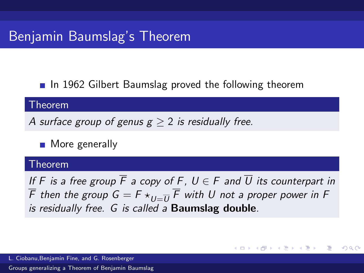# Benjamin Baumslag's Theorem

 $\blacksquare$  In 1962 Gilbert Baumslag proved the following theorem

#### Theorem

A surface group of genus  $g > 2$  is residually free.

**More generally** 

#### Theorem

If F is a free group  $\overline{F}$  a copy of F,  $U \in F$  and  $\overline{U}$  its counterpart in F then the group  $\mathsf{G}=\mathsf{F}\star_{U=\overline{U}}\mathsf{F}$  with  $U$  not a proper power in F is residually free. G is called a **Baumslag double**.

K ロ ▶ K 御 ▶ K 君 ▶ K 君 ▶

 $\Omega$ 

L. Ciobanu,Benjamin Fine, and G. Rosenberger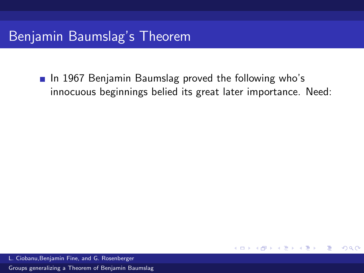■ In 1967 Benjamin Baumslag proved the following who's innocuous beginnings belied its great later importance. Need:

4.0.3

Ε

 $\Omega$ 

L. Ciobanu,Benjamin Fine, and G. Rosenberger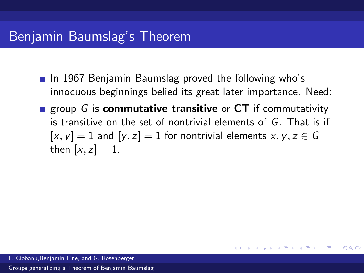# Benjamin Baumslag's Theorem

- **In 1967 Benjamin Baumslag proved the following who's** innocuous beginnings belied its great later importance. Need:
- **Example 3** group G is **commutative transitive** or  $CT$  if commutativity is transitive on the set of nontrivial elements of G. That is if  $[x, y] = 1$  and  $[y, z] = 1$  for nontrivial elements  $x, y, z \in G$ then  $[x, z] = 1$ .

K ロ ▶ K 御 ▶ K 君 ▶ K 君 ▶

目

 $\Omega$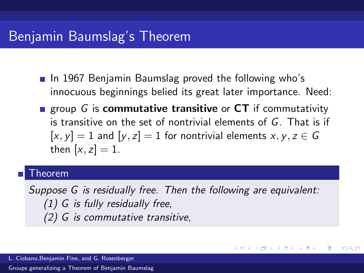## Benjamin Baumslag's Theorem

- **In 1967 Benjamin Baumslag proved the following who's** innocuous beginnings belied its great later importance. Need:
- **Example 3** group G is **commutative transitive** or  $CT$  if commutativity is transitive on the set of nontrivial elements of G. That is if  $[x, y] = 1$  and  $[y, z] = 1$  for nontrivial elements  $x, y, z \in G$ then  $[x, z] = 1$ .

#### Theorem

Suppose G is residually free. Then the following are equivalent: (1) G is fully residually free, (2) G is commutative transitive,

メロメ メ部メ メミメ メミメ

目

 $\Omega$ 

L. Ciobanu,Benjamin Fine, and G. Rosenberger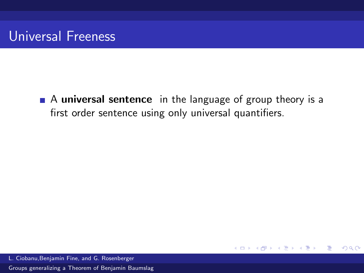A universal sentence in the language of group theory is a first order sentence using only universal quantifiers.

4.0.3

4 何 ▶

Ε

 $\Omega$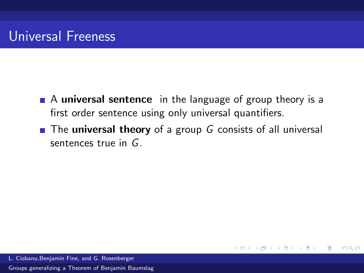- A universal sentence in the language of group theory is a first order sentence using only universal quantifiers.
- $\blacksquare$  The universal theory of a group G consists of all universal sentences true in G.

4 0 8

Ε

 $\Omega$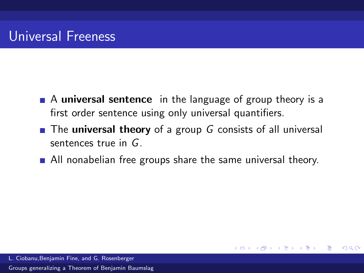- A universal sentence in the language of group theory is a first order sentence using only universal quantifiers.
- $\blacksquare$  The **universal theory** of a group G consists of all universal sentences true in G.
- All nonabelian free groups share the same universal theory.

4.0.3

Ε

 $\Omega$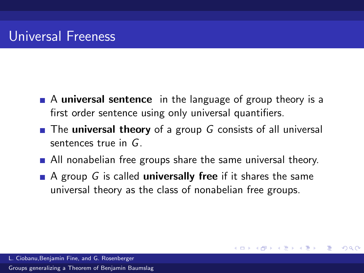- A universal sentence in the language of group theory is a first order sentence using only universal quantifiers.
- $\blacksquare$  The **universal theory** of a group G consists of all universal sentences true in G.
- All nonabelian free groups share the same universal theory.
- A group G is called **universally free** if it shares the same universal theory as the class of nonabelian free groups.

4母 ▶ 4回 ▶

 $\Omega$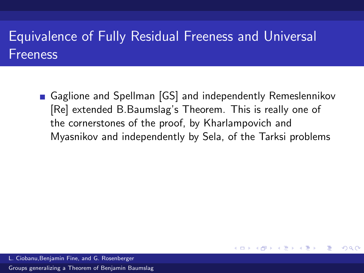# Equivalence of Fully Residual Freeness and Universal Freeness

Gaglione and Spellman [GS] and independently Remeslennikov [Re] extended B.Baumslag's Theorem. This is really one of the cornerstones of the proof, by Kharlampovich and Myasnikov and independently by Sela, of the Tarksi problems

**Bikist** 

Ε

 $\Omega$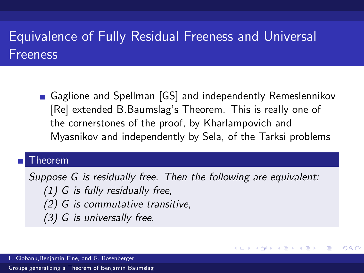# Equivalence of Fully Residual Freeness and Universal Freeness

Gaglione and Spellman [GS] and independently Remeslennikov [Re] extended B.Baumslag's Theorem. This is really one of the cornerstones of the proof, by Kharlampovich and Myasnikov and independently by Sela, of the Tarksi problems

#### Theorem

Suppose G is residually free. Then the following are equivalent: (1) G is fully residually free, (2) G is commutative transitive, (3) G is universally free.

 $\left\{ \begin{array}{ccc} 1 & 0 & 0 \\ 0 & 1 & 0 \end{array} \right.$ 

 $\Omega$ 

L. Ciobanu,Benjamin Fine, and G. Rosenberger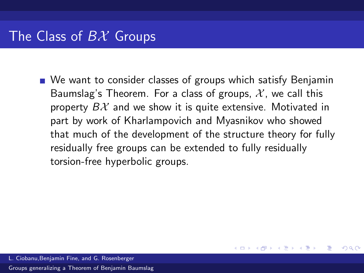■ We want to consider classes of groups which satisfy Benjamin Baumslag's Theorem. For a class of groups,  $\mathcal{X}$ , we call this property  $B\mathcal{X}$  and we show it is quite extensive. Motivated in part by work of Kharlampovich and Myasnikov who showed that much of the development of the structure theory for fully residually free groups can be extended to fully residually torsion-free hyperbolic groups.

 $\left\{ \left\vert \left\langle \left\langle \left\langle \mathbf{q} \right\rangle \right\rangle \right\rangle \right\vert \left\langle \mathbf{q} \right\rangle \right\vert \left\langle \mathbf{q} \right\rangle \right\vert \left\langle \mathbf{q} \right\rangle \right\vert \left\langle \mathbf{q} \right\rangle \left\langle \mathbf{q} \right\rangle \right\vert$ 

 $209$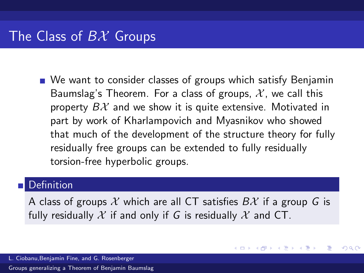■ We want to consider classes of groups which satisfy Benjamin Baumslag's Theorem. For a class of groups,  $\mathcal{X}$ , we call this property  $B\mathcal{X}$  and we show it is quite extensive. Motivated in part by work of Kharlampovich and Myasnikov who showed that much of the development of the structure theory for fully residually free groups can be extended to fully residually torsion-free hyperbolic groups.

### Definition

A class of groups X which are all CT satisfies  $B\mathcal{X}$  if a group G is fully residually X if and only if G is residually X and CT.

メロメ メ母メ メミメ メミメ

 $209$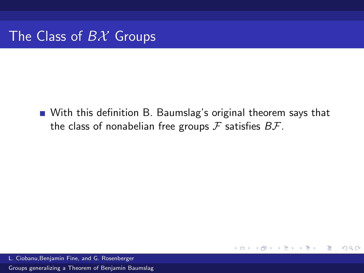With this definition B. Baumslag's original theorem says that the class of nonabelian free groups  $\mathcal F$  satisfies  $B\mathcal F$ .

4.0.3

Ε

 $\Omega$ 

L. Ciobanu,Benjamin Fine, and G. Rosenberger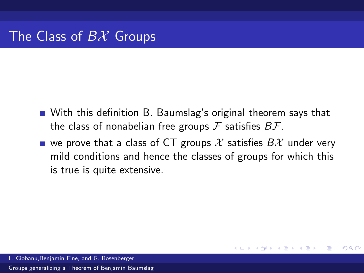- With this definition B. Baumslag's original theorem says that the class of nonabelian free groups  $\mathcal F$  satisfies  $B\mathcal F$ .
- we prove that a class of CT groups X satisfies  $B\mathcal{X}$  under very mild conditions and hence the classes of groups for which this is true is quite extensive.

 $209$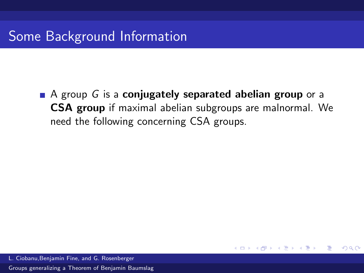$\blacksquare$  A group G is a conjugately separated abelian group or a CSA group if maximal abelian subgroups are malnormal. We need the following concerning CSA groups.

4.0.3

Ε

 $\Omega$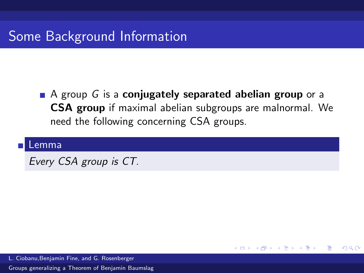### $\blacksquare$  A group G is a conjugately separated abelian group or a CSA group if maximal abelian subgroups are malnormal. We need the following concerning CSA groups.

4.0.3

→ 何 ▶ → ヨ ▶ → ヨ ▶

目

 $\Omega$ 

#### Lemma

Every CSA group is CT.

L. Ciobanu,Benjamin Fine, and G. Rosenberger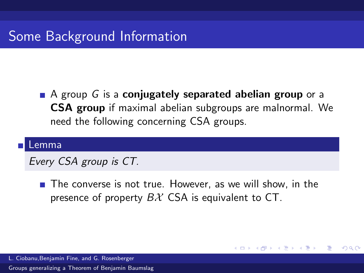$\blacksquare$  A group G is a conjugately separated abelian group or a CSA group if maximal abelian subgroups are malnormal. We need the following concerning CSA groups.

#### Lemma

Every CSA group is CT.

 $\blacksquare$  The converse is not true. However, as we will show, in the presence of property  $B\mathcal{X}$  CSA is equivalent to CT.

- 4 何 ▶ - 4 手 ▶ - 4

 $\Omega$ 

L. Ciobanu,Benjamin Fine, and G. Rosenberger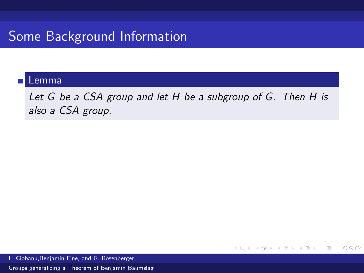#### Lemma

Let G be a CSA group and let H be a subgroup of G. Then H is also a CSA group.

**≮ロト ⊀個 ▶ ⊀ 君 ▶ ⊀ 君 ▶** ...

Ε.

 $2990$ 

L. Ciobanu,Benjamin Fine, and G. Rosenberger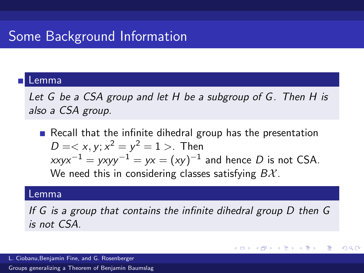#### Lemma

Let G be a CSA group and let H be a subgroup of G. Then H is also a CSA group.

Recall that the infinite dihedral group has the presentation  $D =$ . Then  $x$ xy $x^{-1}$  = yxyy $^{-1}$  = yx =  $(xy)^{-1}$  and hence  $D$  is not CSA. We need this in considering classes satisfying  $B\mathcal{X}$ .

#### Lemma

If G is a group that contains the infinite dihedral group D then G is not CSA.

K ロ ▶ K 御 ▶ K 君 ▶ K 君 ▶

 $\Omega$ 

L. Ciobanu,Benjamin Fine, and G. Rosenberger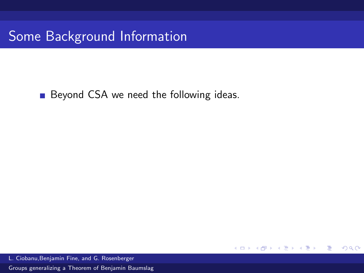Beyond CSA we need the following ideas.

검 > 'K 검 >

**K ロ ኦ K 御 ≯ K** 

 $299$ 

活

L. Ciobanu,Benjamin Fine, and G. Rosenberger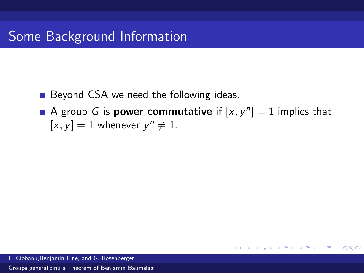- Beyond CSA we need the following ideas.
- A group G is **power commutative** if  $[x, y^n] = 1$  implies that  $[x, y] = 1$  whenever  $y^n \neq 1$ .

メロメ メ都 メメ きょ メ きょ

G.

 $\Omega$ 

L. Ciobanu,Benjamin Fine, and G. Rosenberger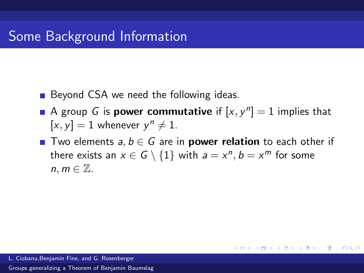- Beyond CSA we need the following ideas.
- A group G is **power commutative** if  $[x, y^n] = 1$  implies that  $[x, y] = 1$  whenever  $y^n \neq 1$ .
- Two elements  $a, b \in G$  are in **power relation** to each other if there exists an  $x \in G \setminus \{1\}$  with  $a = x^n, b = x^m$  for some  $n, m \in \mathbb{Z}$ .

 $A \equiv \mathbf{1} \times \mathbf{1} \oplus \mathbf{1} \times \mathbf{1} \oplus \mathbf{1} \times \mathbf{1} \oplus \mathbf{1}$ 

重

 $\Omega$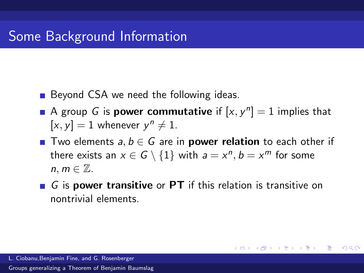- Beyond CSA we need the following ideas.
- A group G is **power commutative** if  $[x, y^n] = 1$  implies that  $[x, y] = 1$  whenever  $y^n \neq 1$ .
- Two elements  $a, b \in G$  are in **power relation** to each other if there exists an  $x \in G \setminus \{1\}$  with  $a = x^n, b = x^m$  for some  $n, m \in \mathbb{Z}$ .
- $\blacksquare$  G is **power transitive** or PT if this relation is transitive on nontrivial elements.

メロメ メ都 メメ きょ メ きょ

重

 $\Omega$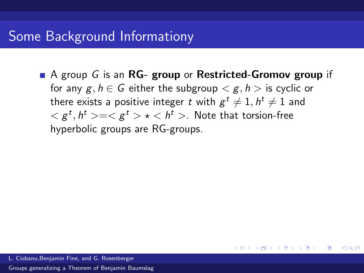$\blacksquare$  A group G is an RG- group or Restricted-Gromov group if for any  $g, h \in G$  either the subgroup  $\langle g, h \rangle$  is cyclic or there exists a positive integer  $t$  with  $g^t \neq 1, h^t \neq 1$  and  $<{\mathcal{g}}^t, h^t>=<{\mathcal{g}}^t> \star < h^t>$  . Note that torsion-free hyperbolic groups are RG-groups.

メロメ メ御 メメ きょくきょう

G.

 $\Omega$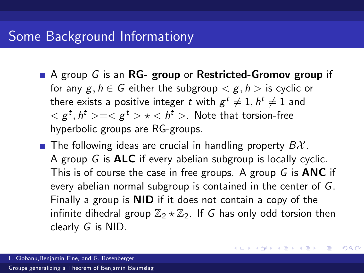- $\blacksquare$  A group G is an RG- group or Restricted-Gromov group if for any  $g, h \in G$  either the subgroup  $\langle g, h \rangle$  is cyclic or there exists a positive integer  $t$  with  $g^t \neq 1, h^t \neq 1$  and  $<{\mathcal{g}}^t, h^t>=<{\mathcal{g}}^t> \star < h^t>$  . Note that torsion-free hyperbolic groups are RG-groups.
- **The following ideas are crucial in handling property**  $B\mathcal{X}$ **.** A group G is ALC if every abelian subgroup is locally cyclic. This is of course the case in free groups. A group  $G$  is **ANC** if every abelian normal subgroup is contained in the center of G. Finally a group is NID if it does not contain a copy of the infinite dihedral group  $\mathbb{Z}_2 \star \mathbb{Z}_2$ . If G has only odd torsion then clearly G is NID.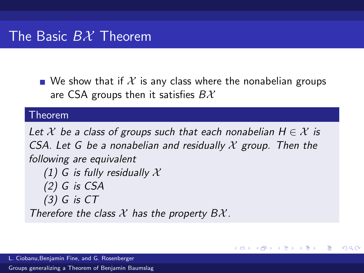$\blacksquare$  We show that if  $\mathcal X$  is any class where the nonabelian groups are CSA groups then it satisfies  $B\mathcal{X}$ 

#### Theorem

Let  $\mathcal X$  be a class of groups such that each nonabelian  $H \in \mathcal X$  is CSA. Let G be a nonabelian and residually  $\mathcal X$  group. Then the following are equivalent (1) G is fully residually  $\mathcal X$  $(2)$  G is CSA  $(3)$  G is  $CT$ Therefore the class  $X$  has the property  $B X$ .

メロト メ何ト メミトメ

 $209$ 

L. Ciobanu,Benjamin Fine, and G. Rosenberger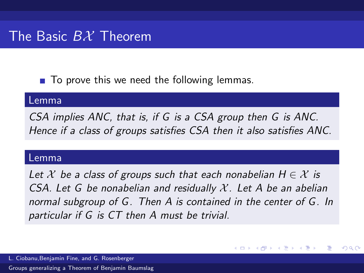$\blacksquare$  To prove this we need the following lemmas.

#### Lemma

CSA implies ANC, that is, if G is a CSA group then G is ANC. Hence if a class of groups satisfies CSA then it also satisfies ANC.

#### Lemma

Let  $\mathcal X$  be a class of groups such that each nonabelian  $H \in \mathcal X$  is CSA. Let G be nonabelian and residually  $\mathcal{X}$ . Let A be an abelian normal subgroup of G. Then A is contained in the center of G. In particular if G is CT then A must be trivial.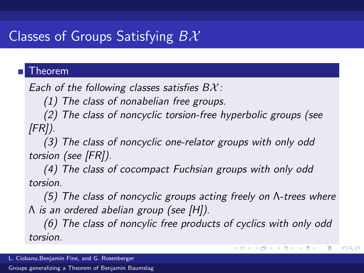# Classes of Groups Satisfying  $B\mathcal{X}$

### Theorem

Each of the following classes satisfies  $B\mathcal{X}$ :

(1) The class of nonabelian free groups.

(2) The class of noncyclic torsion-free hyperbolic groups (see  $[FR]$ ).

(3) The class of noncyclic one-relator groups with only odd torsion (see [FR]).

(4) The class of cocompact Fuchsian groups with only odd torsion.

(5) The class of noncyclic groups acting freely on Λ-trees where Λ is an ordered abelian group (see [H]).

(6) The class of noncylic free products of cyclics with only odd torsion.

メロメ メ部メ メミメ メミメ

E

 $\Omega$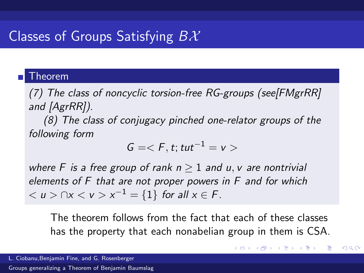# Classes of Groups Satisfying  $B\mathcal{X}$

#### Theorem

(7) The class of noncyclic torsion-free RG-groups (see[FMgrRR] and [AgrRR]).

(8) The class of conjugacy pinched one-relator groups of the following form

$$
G=
$$

where F is a free group of rank  $n > 1$  and u, v are nontrivial elements of F that are not proper powers in F and for which  $0 < u > \bigcap x < v > x^{-1} = \{1\}$  for all  $x \in F$ .

The theorem follows from the fact that each of these classes has the property that each nonabelian group in them is CSA.

 $\left\{ \begin{array}{ccc} 1 & 0 & 0 \\ 0 & 1 & 0 \end{array} \right.$ 

 $209$ 

L. Ciobanu,Benjamin Fine, and G. Rosenberger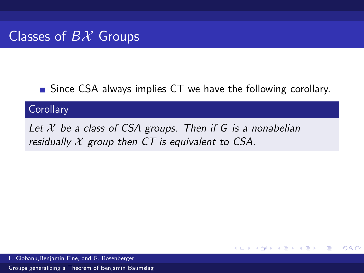**Since CSA always implies CT we have the following corollary.** 

メロメ メ母メ メミメ メミメ

Ε

 $\Omega$ 

### **Corollary**

Let  $X$  be a class of CSA groups. Then if G is a nonabelian residually  $X$  group then CT is equivalent to CSA.

L. Ciobanu,Benjamin Fine, and G. Rosenberger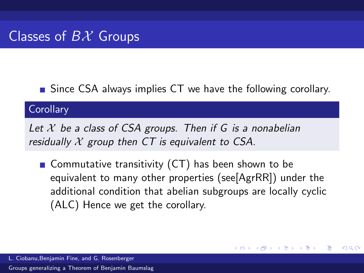**Since CSA always implies CT we have the following corollary.** 

### **Corollary**

Let  $X$  be a class of CSA groups. Then if G is a nonabelian residually  $X$  group then CT is equivalent to CSA.

Gommutative transitivity  $(CT)$  has been shown to be equivalent to many other properties (see[AgrRR]) under the additional condition that abelian subgroups are locally cyclic (ALC) Hence we get the corollary.

メロメ メ何 メスモメス 手

 $\Omega$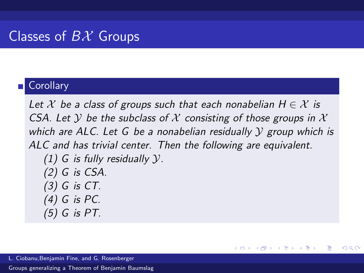### **Corollary**

Let  $\mathcal X$  be a class of groups such that each nonabelian  $H \in \mathcal X$  is CSA. Let Y be the subclass of X consisting of those groups in X which are ALC. Let G be a nonabelian residually  $\mathcal Y$  group which is ALC and has trivial center. Then the following are equivalent. (1) G is fully residually  $\mathcal{Y}$ . (2) G is CSA. (3) G is CT. (4) G is PC. (5) G is PT.

メロメ メ母メ メミメ メミメ

 $\Omega$ 

∍

L. Ciobanu,Benjamin Fine, and G. Rosenberger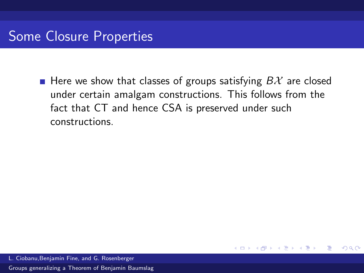**Here we show that classes of groups satisfying**  $B\mathcal{X}$  **are closed** under certain amalgam constructions. This follows from the fact that CT and hence CSA is preserved under such constructions.

4.0.3

∋ »

Ε

 $\Omega$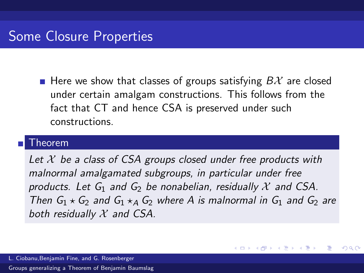**Here we show that classes of groups satisfying**  $B\mathcal{X}$  **are closed** under certain amalgam constructions. This follows from the fact that CT and hence CSA is preserved under such constructions.

#### Theorem

Let  $X$  be a class of CSA groups closed under free products with malnormal amalgamated subgroups, in particular under free products. Let  $G_1$  and  $G_2$  be nonabelian, residually X and CSA. Then  $G_1 \star G_2$  and  $G_1 \star_A G_2$  where A is malnormal in  $G_1$  and  $G_2$  are both residually  $X$  and CSA.

イロト イ押 トイヨ トイヨ

 $\Omega$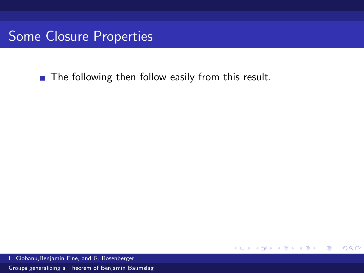**The following then follow easily from this result.** 

 $299$ 

活

**K ロ ኦ K 御 ≯ K** 

手下 メラト

L. Ciobanu,Benjamin Fine, and G. Rosenberger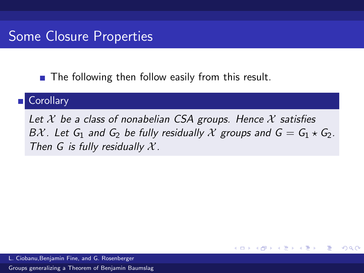$\blacksquare$  The following then follow easily from this result.

#### **Corollary**

Let  $X$  be a class of nonabelian CSA groups. Hence  $X$  satisfies BX. Let  $G_1$  and  $G_2$  be fully residually X groups and  $G = G_1 \star G_2$ . Then G is fully residually  $X$ .

4 0 8

**Bikist** 

 $\Omega$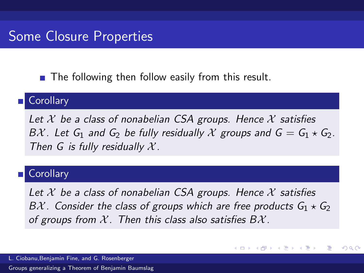$\blacksquare$  The following then follow easily from this result.

#### **Corollary**

Let  $X$  be a class of nonabelian CSA groups. Hence  $X$  satisfies BX. Let  $G_1$  and  $G_2$  be fully residually X groups and  $G = G_1 \star G_2$ . Then G is fully residually  $X$ .

#### **Corollary**

Let  $X$  be a class of nonabelian CSA groups. Hence  $X$  satisfies BX. Consider the class of groups which are free products  $G_1 \star G_2$ of groups from  $\mathcal X$ . Then this class also satisfies  $B\mathcal X$ .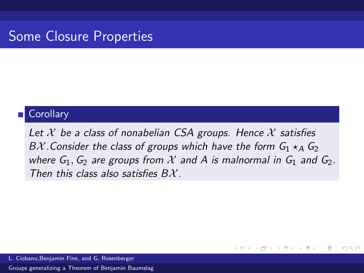#### **Corollary**

Let  $\mathcal X$  be a class of nonabelian CSA groups. Hence  $\mathcal X$  satisfies BX. Consider the class of groups which have the form  $G_1 \star_A G_2$ where  $G_1, G_2$  are groups from X and A is malnormal in  $G_1$  and  $G_2$ . Then this class also satisfies  $BX$ 

 $\left\{ \left\vert \left\langle \left\langle \left\langle \mathbf{q} \right\rangle \right\rangle \right\rangle \right\vert \left\langle \mathbf{q} \right\rangle \right\vert \left\langle \mathbf{q} \right\rangle \right\vert \left\langle \mathbf{q} \right\rangle \right\vert \left\langle \mathbf{q} \right\rangle \left\langle \mathbf{q} \right\rangle \right\vert$ 

 $\Omega$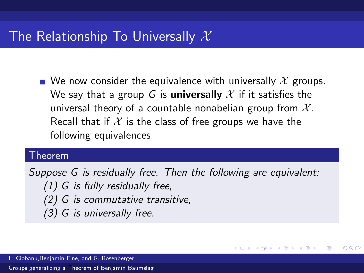## The Relationship To Universally  $\mathcal X$

We now consider the equivalence with universally  $\mathcal X$  groups. We say that a group G is **universally** X if it satisfies the universal theory of a countable nonabelian group from  $\mathcal{X}$ . Recall that if  $X$  is the class of free groups we have the following equivalences

#### Theorem

Suppose G is residually free. Then the following are equivalent: (1) G is fully residually free, (2) G is commutative transitive, (3) G is universally free.

メロメ メ都 メメ きょ メモメ

 $\Omega$ 

L. Ciobanu,Benjamin Fine, and G. Rosenberger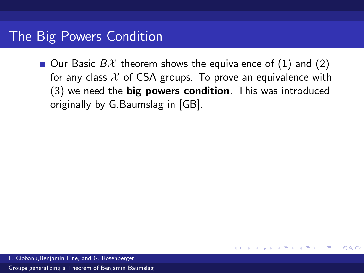Our Basic  $B\mathcal{X}$  theorem shows the equivalence of (1) and (2) for any class  $X$  of CSA groups. To prove an equivalence with (3) we need the big powers condition. This was introduced originally by G.Baumslag in [GB].

4.0.3

 $\Omega$ 

∍

L. Ciobanu,Benjamin Fine, and G. Rosenberger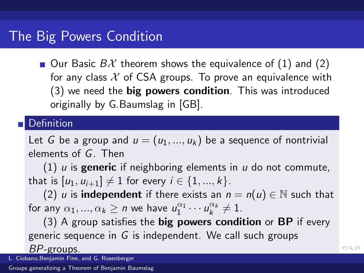## The Big Powers Condition

Our Basic  $B\mathcal{X}$  theorem shows the equivalence of (1) and (2) for any class  $X$  of CSA groups. To prove an equivalence with  $(3)$  we need the **big powers condition**. This was introduced originally by G.Baumslag in [GB].

### **Definition**

Let G be a group and  $u = (u_1, ..., u_k)$  be a sequence of nontrivial elements of G. Then

(1) u is **generic** if neighboring elements in u do not commute, that is  $[u_1, u_{i+1}] \neq 1$  for every  $i \in \{1, ..., k\}$ .

(2) u is **independent** if there exists an  $n = n(u) \in \mathbb{N}$  such that for any  $\alpha_1, ..., \alpha_k \ge n$  we have  $u_1^{\alpha_1} \cdots u_k^{\alpha_k} \ne 1$ .

 $(3)$  A group satisfies the **big powers condition** or **BP** if every generic sequence in G is independent. We call such groups BP-groups.

 $2990$ 

L. Ciobanu,Benjamin Fine, and G. Rosenberger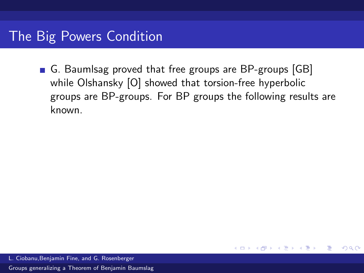G. Baumlsag proved that free groups are BP-groups [GB] while Olshansky [O] showed that torsion-free hyperbolic groups are BP-groups. For BP groups the following results are known.

**K ロ ▶ K 何 ▶ K** 

Ε

 $\Omega$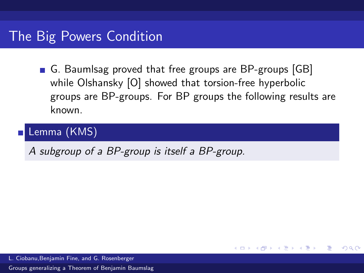G. Baumlsag proved that free groups are BP-groups [GB] while Olshansky [O] showed that torsion-free hyperbolic groups are BP-groups. For BP groups the following results are known.

メロメ メ母メ メミメ メミメ

Ε

 $\Omega$ 

## Lemma (KMS)

A subgroup of a BP-group is itself a BP-group.

L. Ciobanu,Benjamin Fine, and G. Rosenberger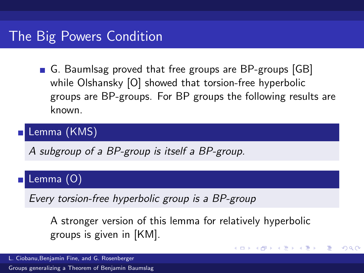G. Baumlsag proved that free groups are BP-groups [GB] while Olshansky [O] showed that torsion-free hyperbolic groups are BP-groups. For BP groups the following results are known.

## Lemma (KMS)

A subgroup of a BP-group is itself a BP-group.

### Lemma (O)

Every torsion-free hyperbolic group is a BP-group

A stronger version of this lemma for relatively hyperbolic groups is given in [KM].

K ロ ▶ K 御 ▶ K 君 ▶ K 君 ▶

重

 $\Omega$ 

L. Ciobanu,Benjamin Fine, and G. Rosenberger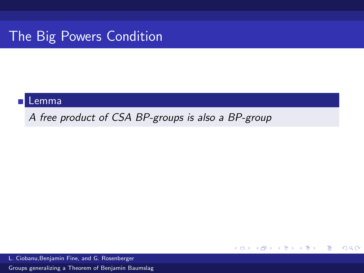# The Big Powers Condition

#### Lemma

A free product of CSA BP-groups is also a BP-group

メロメ メ御 メメ きょくきょう

 $E = \Omega Q$ 

L. Ciobanu,Benjamin Fine, and G. Rosenberger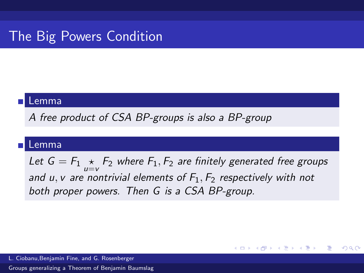# The Big Powers Condition

#### Lemma

A free product of CSA BP-groups is also a BP-group

#### Lemma

Let  $G = F_1 \underset{u=v}{\star} F_2$  where  $F_1, F_2$  are finitely generated free groups and u, v are nontrivial elements of  $F_1, F_2$  respectively with not both proper powers. Then G is a CSA BP-group.

メロメ メ御 メメ きょくきょう

G.

 $\Omega$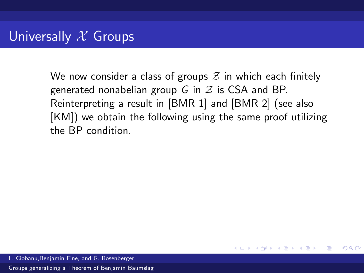We now consider a class of groups  $\mathcal Z$  in which each finitely generated nonabelian group G in  $\mathcal Z$  is CSA and BP. Reinterpreting a result in [BMR 1] and [BMR 2] (see also [KM]) we obtain the following using the same proof utilizing the BP condition.

**K ロ ▶ | K 何 ▶ | K ヨ ▶ | K** 

Ε

 $\Omega$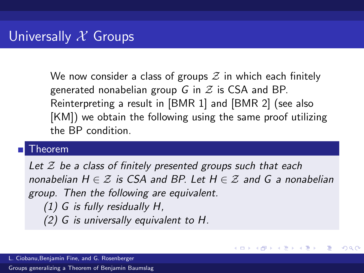We now consider a class of groups  $\mathcal Z$  in which each finitely generated nonabelian group G in  $\mathcal Z$  is CSA and BP. Reinterpreting a result in [BMR 1] and [BMR 2] (see also [KM]) we obtain the following using the same proof utilizing the BP condition.

#### Theorem

Let  $\mathcal Z$  be a class of finitely presented groups such that each nonabelian  $H \in \mathcal{Z}$  is CSA and BP. Let  $H \in \mathcal{Z}$  and G a nonabelian group. Then the following are equivalent. (1) G is fully residually H, (2) G is universally equivalent to H.

メロメ メ母メ メミメ メミメ

 $209$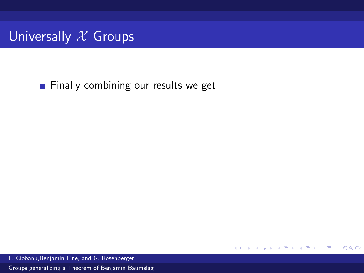

Finally combining our results we get

 $299$ 

活

一 4 三 下

( □ ) ( <sub>□</sub> )

L. Ciobanu,Benjamin Fine, and G. Rosenberger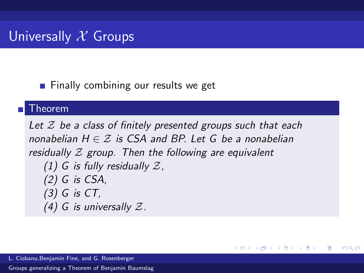$\blacksquare$  Finally combining our results we get

### Theorem

Let  $\mathcal Z$  be a class of finitely presented groups such that each nonabelian  $H \in \mathcal{F}$  is CSA and BP. Let G be a nonabelian residually  $\mathcal Z$  group. Then the following are equivalent (1) G is fully residually  $\mathcal{Z}$ , (2) G is CSA, (3) G is CT, (4) G is universally  $\mathcal{Z}$ .

メロメ メ都 メメモメメ ヨメ

Ε

 $\Omega$ 

L. Ciobanu,Benjamin Fine, and G. Rosenberger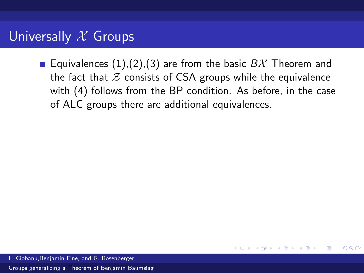# Universally  $X$  Groups

Equivalences  $(1),(2),(3)$  are from the basic  $B\mathcal{X}$  Theorem and the fact that  $Z$  consists of CSA groups while the equivalence with (4) follows from the BP condition. As before, in the case of ALC groups there are additional equivalences.

 $\Omega$ 

∍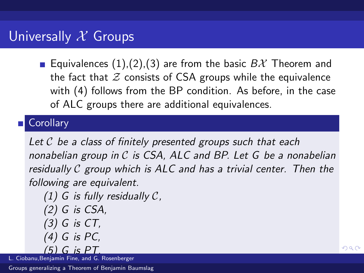**Equivalences** (1), (2), (3) are from the basic  $BX$  Theorem and the fact that  $Z$  consists of CSA groups while the equivalence with (4) follows from the BP condition. As before, in the case of ALC groups there are additional equivalences.

### **Corollary**

Let  $\mathcal C$  be a class of finitely presented groups such that each nonabelian group in  $C$  is CSA, ALC and BP. Let  $G$  be a nonabelian residually  $C$  group which is  $ALC$  and has a trivial center. Then the following are equivalent.

<span id="page-61-0"></span>(1) G is fully residually  $\mathcal{C}$ ,  $(2)$  G is CSA, (3) G is CT, (4) G is PC,  $(5)$  G is PT

L. Ciobanu,Benjamin Fine, and G. Rosenberger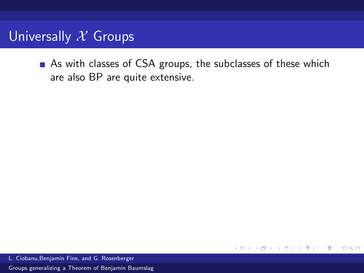# Universally  $X$  Groups

As with classes of CSA groups, the subclasses of these which are also BP are quite extensive.

4.0.3

4 何 ▶

活

<span id="page-62-0"></span> $QQ$ 

L. Ciobanu,Benjamin Fine, and G. Rosenberger